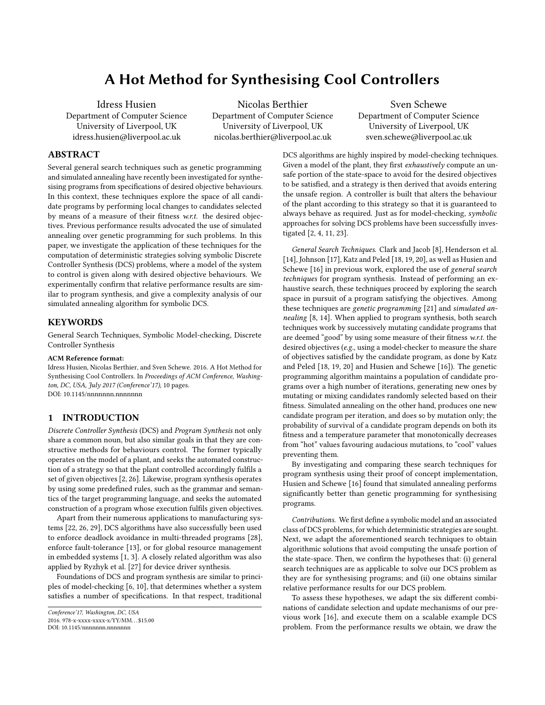# A Hot Method for Synthesising Cool Controllers

Idress Husien Department of Computer Science University of Liverpool, UK idress.husien@liverpool.ac.uk

Nicolas Berthier Department of Computer Science University of Liverpool, UK nicolas.berthier@liverpool.ac.uk

Sven Schewe Department of Computer Science University of Liverpool, UK sven.schewe@liverpool.ac.uk

# ABSTRACT

Several general search techniques such as genetic programming and simulated annealing have recently been investigated for synthesising programs from specifications of desired objective behaviours. In this context, these techniques explore the space of all candidate programs by performing local changes to candidates selected by means of a measure of their fitness w.r.t. the desired objectives. Previous performance results advocated the use of simulated annealing over genetic programming for such problems. In this paper, we investigate the application of these techniques for the computation of deterministic strategies solving symbolic Discrete Controller Synthesis (DCS) problems, where a model of the system to control is given along with desired objective behaviours. We experimentally confirm that relative performance results are similar to program synthesis, and give a complexity analysis of our simulated annealing algorithm for symbolic DCS.

## **KEYWORDS**

General Search Techniques, Symbolic Model-checking, Discrete Controller Synthesis

#### ACM Reference format:

Idress Husien, Nicolas Berthier, and Sven Schewe. 2016. A Hot Method for Synthesising Cool Controllers. In Proceedings of ACM Conference, Washington, DC, USA, July 2017 (Conference'17), [10](#page-9-0) pages. DOI: 10.1145/nnnnnnn.nnnnnnn

## 1 INTRODUCTION

Discrete Controller Synthesis (DCS) and Program Synthesis not only share a common noun, but also similar goals in that they are constructive methods for behaviours control. The former typically operates on the model of a plant, and seeks the automated construction of a strategy so that the plant controlled accordingly fulfils a set of given objectives [\[2,](#page-9-1) [26\]](#page-9-2). Likewise, program synthesis operates by using some predefined rules, such as the grammar and semantics of the target programming language, and seeks the automated construction of a program whose execution fulls given objectives.

Apart from their numerous applications to manufacturing systems [\[22,](#page-9-3) [26,](#page-9-2) [29\]](#page-9-4), DCS algorithms have also successfully been used to enforce deadlock avoidance in multi-threaded programs [\[28\]](#page-9-5), enforce fault-tolerance [\[13\]](#page-9-6), or for global resource management in embedded systems [\[1,](#page-9-7) [3\]](#page-9-8). A closely related algorithm was also applied by Ryzhyk et al. [\[27\]](#page-9-9) for device driver synthesis.

Foundations of DCS and program synthesis are similar to principles of model-checking [\[6,](#page-9-10) [10\]](#page-9-11), that determines whether a system satisfies a number of specifications. In that respect, traditional

DCS algorithms are highly inspired by model-checking techniques. Given a model of the plant, they first exhaustively compute an unsafe portion of the state-space to avoid for the desired objectives to be satisfied, and a strategy is then derived that avoids entering the unsafe region. A controller is built that alters the behaviour of the plant according to this strategy so that it is guaranteed to always behave as required. Just as for model-checking, symbolic approaches for solving DCS problems have been successfully investigated [\[2,](#page-9-1) [4,](#page-9-12) [11,](#page-9-13) [23\]](#page-9-14).

General Search Techniques. Clark and Jacob [\[8\]](#page-9-15), Henderson et al. [\[14\]](#page-9-16), Johnson [\[17\]](#page-9-17), Katz and Peled [\[18,](#page-9-18) [19,](#page-9-19) [20\]](#page-9-20), as well as Husien and Schewe [\[16\]](#page-9-21) in previous work, explored the use of general search techniques for program synthesis. Instead of performing an exhaustive search, these techniques proceed by exploring the search space in pursuit of a program satisfying the objectives. Among these techniques are genetic programming [\[21\]](#page-9-22) and simulated annealing [\[8,](#page-9-15) [14\]](#page-9-16). When applied to program synthesis, both search techniques work by successively mutating candidate programs that are deemed "good" by using some measure of their fitness w.r.t. the desired objectives (e.g., using a model-checker to measure the share of objectives satisfied by the candidate program, as done by Katz and Peled [\[18,](#page-9-18) [19,](#page-9-19) [20\]](#page-9-20) and Husien and Schewe [\[16\]](#page-9-21)). The genetic programming algorithm maintains a population of candidate programs over a high number of iterations, generating new ones by mutating or mixing candidates randomly selected based on their fitness. Simulated annealing on the other hand, produces one new candidate program per iteration, and does so by mutation only; the probability of survival of a candidate program depends on both its fitness and a temperature parameter that monotonically decreases from "hot" values favouring audacious mutations, to "cool" values preventing them.

By investigating and comparing these search techniques for program synthesis using their proof of concept implementation, Husien and Schewe [\[16\]](#page-9-21) found that simulated annealing performs significantly better than genetic programming for synthesising programs.

Contributions. We first define a symbolic model and an associated class of DCS problems, for which deterministic strategies are sought. Next, we adapt the aforementioned search techniques to obtain algorithmic solutions that avoid computing the unsafe portion of the state-space. Then, we confirm the hypotheses that: (i) general search techniques are as applicable to solve our DCS problem as they are for synthesising programs; and (ii) one obtains similar relative performance results for our DCS problem.

To assess these hypotheses, we adapt the six different combinations of candidate selection and update mechanisms of our previous work [\[16\]](#page-9-21), and execute them on a scalable example DCS problem. From the performance results we obtain, we draw the

Conference'17, Washington, DC, USA

<sup>2016. 978-</sup>x-xxxx-xxxx-x/YY/MM. . . \$15.00

DOI: 10.1145/nnnnnnn.nnnnnnn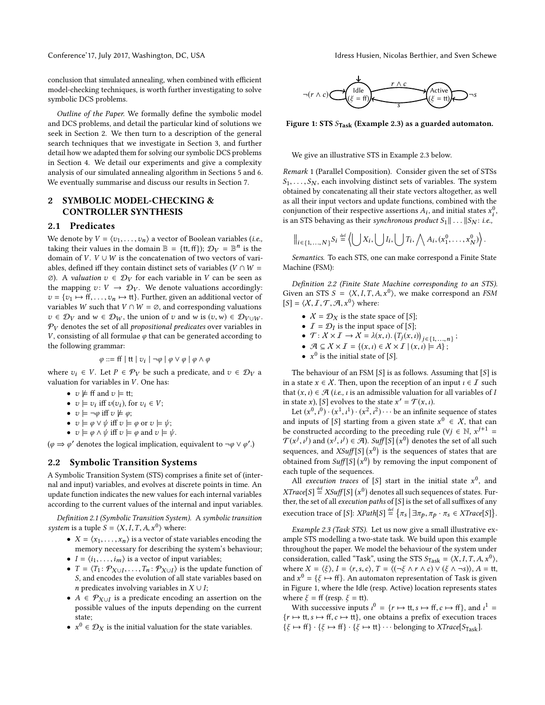Conference'17, July 2017, Washington, DC, USA Idress Husien, Nicolas Berthier, and Sven Schewe

conclusion that simulated annealing, when combined with efficient model-checking techniques, is worth further investigating to solve symbolic DCS problems.

Outline of the Paper. We formally define the symbolic model and DCS problems, and detail the particular kind of solutions we seek in Section [2.](#page-1-0) We then turn to a description of the general search techniques that we investigate in Section [3,](#page-3-0) and further detail how we adapted them for solving our symbolic DCS problems in Section [4.](#page-4-0) We detail our experiments and give a complexity analysis of our simulated annealing algorithm in Sections [5](#page-5-0) and [6.](#page-7-0) We eventually summarise and discuss our results in Section [7.](#page-9-23)

# <span id="page-1-0"></span>2 SYMBOLIC MODEL-CHECKING & CONTROLLER SYNTHESIS

## <span id="page-1-3"></span>2.1 Predicates

We denote by  $V = \langle v_1, \ldots, v_n \rangle$  a vector of Boolean variables (*i.e.*, taking their values in the domain  $\mathbb{B} = {\{ \text{tt}, \text{ff} \}}$ ;  $\mathcal{D}_V = \mathbb{B}^n$  is the domain of  $V, V \cup W$  is the concetenation of two vectors of varidomain of V.  $V \cup W$  is the concatenation of two vectors of variables, defined iff they contain distinct sets of variables ( $V \cap W =$  $\emptyset$ ). A valuation  $v \in \mathcal{D}_V$  for each variable in V can be seen as the mapping  $v: V \to \mathcal{D}_V$ . We denote valuations accordingly:  $v = \{v_1 \mapsto ff, \ldots, v_n \mapsto tt\}$ . Further, given an additional vector of variables W such that  $V \cap W = \emptyset$ , and corresponding valuations  $v \in \mathcal{D}_V$  and  $w \in \mathcal{D}_W$ , the union of v and w is  $(v, w) \in \mathcal{D}_{V \cup W}$ .  $\mathcal{P}_V$  denotes the set of all *propositional predicates* over variables in  $V$  consisting of all formulas  $\omega$  that can be generated according to V, consisting of all formulae  $\varphi$  that can be generated according to the following grammar:

$$
\varphi ::= \text{ff} \mid \text{tt} \mid v_i \mid \neg \varphi \mid \varphi \lor \varphi \mid \varphi \land \varphi
$$

where  $v_i \in V$ . Let  $P \in \mathcal{P}_V$  be such a predicate, and  $v \in \mathcal{D}_V$  a valuation for variables in  $V$ . One has:

- $v \not\models$  if and  $v \models$  it;
- $v \models v_i$  iff  $v(v_i)$ , for  $v_i \in V$ ;<br>
  $v \models \neg \varphi$  iff  $v \not\models \varphi$ ;
- $v \models \neg \varphi$  iff  $v \not\models \varphi$ ;
- $v \models \varphi \lor \psi$  iff  $v \models \varphi$  or  $v \models \psi$ ;
- $v \models \varphi \land \psi$  iff  $v \models \varphi$  and  $v \models \psi$ .

 $(\varphi \Rightarrow \varphi'$  denotes the logical implication, equivalent to  $\neg \varphi \lor \varphi'.$ 

## 2.2 Symbolic Transition Systems

A Symbolic Transition System (STS) comprises a finite set of (internal and input) variables, and evolves at discrete points in time. An update function indicates the new values for each internal variables according to the current values of the internal and input variables.

Definition 2.1 (Symbolic Transition System). A symbolic transition system is a tuple  $S = \langle X, I, T, A, x^0 \rangle$  where:

- $X = \langle x_1, \ldots, x_n \rangle$  is a vector of state variables encoding the memory necessary for describing the system's behaviour;
- $I = \langle i_1, \ldots, i_m \rangle$  is a vector of input variables;
- $T = \langle T_1 : \mathcal{P}_{X \cup I}, \ldots, T_n : \mathcal{P}_{X \cup I} \rangle$  is the update function of  $S$  and encodes the evolution of all state variables based on S, and encodes the evolution of all state variables based on *n* predicates involving variables in  $X \cup I$ ;
- $A \in \mathcal{P}_{X \cup I}$  is a predicate encoding an assertion on the current possible values of the inputs depending on the current state;
- $x^0 \in \mathcal{D}_X$  is the initial valuation for the state variables.

<span id="page-1-2"></span>

Figure 1: STS  $S_{Task}$  (Example [2.3\)](#page-1-1) as a guarded automaton.

We give an illustrative STS in Example [2.3](#page-1-1) below.

<span id="page-1-4"></span>Remark 1 (Parallel Composition). Consider given the set of STSs  $S_1, \ldots, S_N$ , each involving distinct sets of variables. The system obtained by concatenating all their state vectors altogether, as well as all their input vectors and update functions, combined with the conjunction of their respective assertions  $A_i$ , and initial states  $x_i^0$ , is an STS behaving as their synchronous product S.  $||$   $||$   $||$ S...; i.e. is an STS behaving as their synchronous product  $S_1 || \dots || S_N : i.e.,$ 

$$
\big\|_{i \in \{1,\ldots,N\}} S_i \stackrel{\text{def}}{=} \left\langle \bigcup X_i, \bigcup I_i, \bigcup T_i, \bigwedge A_i, (x_1^0, \ldots, x_N^0) \right\rangle.
$$

Semantics. To each STS, one can make correspond a Finite State Machine (FSM):

Definition 2.2 (Finite State Machine corresponding to an STS). Given an STS  $S = \langle X, I, T, A, x^0 \rangle$ , we make correspond an FSM  $\lceil s \rceil - \langle Y, T, \mathcal{T}, \mathcal{A}, x^0 \rangle$  where:  $[S] = \langle X, I, T, \mathcal{F}, \mathcal{A}, x^0 \rangle$  where:

- $X = \mathcal{D}_X$  is the state space of [S];
- $I = \mathcal{D}_I$  is the input space of [S];<br>•  $T: X \times T \rightarrow X \lambda(x)$  (Ti(x)
- $\mathcal{T}: \mathcal{X} \times \mathcal{I} \to \mathcal{X} = \lambda(x, t) . (T_j(x, t))_{j \in \{1, ..., n\}};$ <br>
  $\mathcal{A} \subset \mathcal{X} \times \mathcal{I} \mathcal{I}(x, t) \in \mathcal{X} \times \mathcal{I} \mid (x, t) \models A$
- $\mathcal{A} \subseteq \mathcal{X} \times \mathcal{I} = \{(x, i) \in \mathcal{X} \times \mathcal{I} \mid (x, i) \models A\};$
- $x^0$  is the initial state of [S].

The behaviour of an FSM  $[S]$  is as follows. Assuming that  $[S]$  is in a state  $x \in \mathcal{X}$ . Then, upon the reception of an input  $\iota \in \mathcal{I}$  such that  $(x, i) \in \mathcal{A}$  (*i.e.*, *i* is an admissible valuation for all variables of *I* in state x),  $[S]$  evolves to the state  $x' = \mathcal{T}(x, t)$ .<br>Let  $(x^0, y^0) \cdot (x^1, y^1) \cdot (x^2, y^2) \dots$  be an infinite

Let  $(x^0, t^0) \cdot (x^1, t^1) \cdot (x^2, t^2) \cdots$  be an infinite sequence of states<br>d inputs of [S] starting from a given state  $x^0 \in X$ , that can and inputs of [S] starting from a given state  $x^0 \in X$ , that can<br>be constructed according to the preceding rule  $(X_i \in \mathbb{N}, x^{j+1})$ be constructed according to the preceding rule  $(\forall j \in \mathbb{N}, x^{j+1} =$ <br> $\mathcal{T}(x^j, y^j)$  and  $(x^j, y^j) \in \mathcal{A}$ ). Suff[S]  $(x^0)$  denotes the set of all such  $\mathcal{T}(x^j, t^j)$  and  $(x^j, t^j) \in \mathcal{A}$ ). Suff  $[S]$   $(x^0)$  denotes the set of all such<br>escause set of  $X_{\text{tot}}$   $\mathcal{F}[S]$   $(x^0)$  is the sequences of states that are sequences, and  $X\text{Suff}[S](x^0)$  is the sequences of states that are<br>obtained from  $\text{Suff}[S](x^0)$  by removing the input component of by the contract of the sequences<br>
each tunle of the sequences each tuple of the sequences.

All *execution traces* of [S] start in the initial state  $x^0$ , and<br>hearlel <sup>def</sup>  $X^c$ ,  $dF[c]$  (*x*)) denotes all such assumes as of ototas. Further  $XTrace[S] \stackrel{\text{def}}{=} XSuff[S] (x^0)$  denotes all such sequences of states. Further the set of all execution notes of  $[S]$  is the set of all suffixes of any ther, the set of all execution paths of [S] is the set of all suffixes of any execution trace of [*S*]:  $XPath[S] \stackrel{\text{def}}{=} {\pi_s}$  $\big|\,\exists \pi_p, \pi_p \cdot \pi_s \in XTrace[S]\big\}.$ 

<span id="page-1-1"></span>Example 2.3 (Task STS). Let us now give a small illustrative example STS modelling a two-state task. We build upon this example throughout the paper. We model the behaviour of the system under consideration, called "Task", using the STS  $S_{\text{Task}} = \langle X, I, T, A, x^0 \rangle$ where  $X = \langle \xi \rangle$ ,  $I = \langle r, s, c \rangle$ ,  $T = \langle (\neg \xi \land r \land c) \lor (\xi \land \neg s) \rangle$ ,  $A = tt$ , and  $x^0 = {\xi \mapsto ff}$ . An automaton representation of Task is given<br>in Figure 1, where the Idle (resp. Active) location represents states in Figure [1,](#page-1-2) where the Idle (resp. Active) location represents states where  $\xi = ff$  (resp.  $\xi = tt$ ).

With successive inputs  $t^0 = \{r \mapsto \text{tf}, s \mapsto \text{ff}, c \mapsto \text{ff}\}$ , and  $t^1 =$ <br> $\mapsto$   $\text{tf } s \mapsto \text{ff } s \mapsto \text{tf } s \mapsto \text{tf } s \mapsto$  $\{r \mapsto \text{tt}, s \mapsto \text{ff}, c \mapsto \text{tt}\},$  one obtains a prefix of execution traces  $\{\xi \mapsto ff\} \cdot \{\xi \mapsto ff\} \cdot \{\xi \mapsto tt\} \cdots$  belonging to XTrace[S<sub>Task</sub>].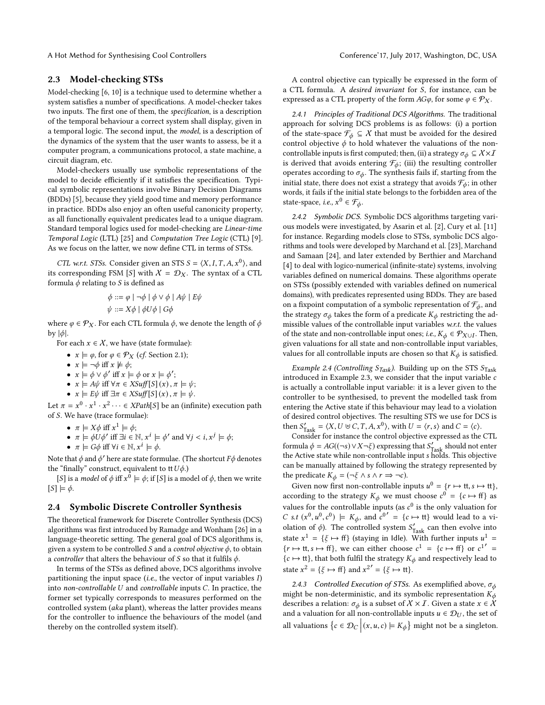A Hot Method for Synthesising Cool Controllers Conternation Conference' T, July 2017, Washington, DC, USA

## <span id="page-2-1"></span>2.3 Model-checking STSs

Model-checking [\[6,](#page-9-10) [10\]](#page-9-11) is a technique used to determine whether a system satisfies a number of specifications. A model-checker takes two inputs. The first one of them, the specification, is a description of the temporal behaviour a correct system shall display, given in a temporal logic. The second input, the model, is a description of the dynamics of the system that the user wants to assess, be it a computer program, a communications protocol, a state machine, a circuit diagram, etc.

Model-checkers usually use symbolic representations of the model to decide efficiently if it satisfies the specification. Typical symbolic representations involve Binary Decision Diagrams (BDDs) [\[5\]](#page-9-24), because they yield good time and memory performance in practice. BDDs also enjoy an often useful canonicity property, as all functionally equivalent predicates lead to a unique diagram. Standard temporal logics used for model-checking are Linear-time Temporal Logic (LTL) [\[25\]](#page-9-25) and Computation Tree Logic (CTL) [\[9\]](#page-9-26). As we focus on the latter, we now define CTL in terms of STSs.

CTL w.r.t. STSs. Consider given an STS  $S = \langle X, I, T, A, x^0 \rangle$ , and<br>corresponding ESM [S] with  $X = \mathcal{D}_Y$ . The syntax of a CTI its corresponding FSM [S] with  $X = \mathcal{D}_X$ . The syntax of a CTL formula  $\phi$  relating to S is defined as

$$
\phi ::= \varphi \mid \neg \phi \mid \phi \lor \phi \mid A\psi \mid E\psi
$$
  

$$
\psi ::= X\phi \mid \phi U\phi \mid G\phi
$$

where  $\varphi \in \mathcal{P}_X$ . For each CTL formula  $\phi$ , we denote the length of  $\phi$ by  $|\phi|$ .

For each  $x \in \mathcal{X}$ , we have (state formulae):

- $x \models \varphi$ , for  $\varphi \in \mathcal{P}_X$  (*cf.* Section [2.1\)](#page-1-3);
- $x \models \neg \phi$  iff  $x \not\models \phi$ ;
- $x \models \phi \lor \phi'$  iff  $x \models \phi$  or  $x \models \phi'$ ;<br>
  $x \models 4\psi$  iff  $\forall \pi \in \text{YSUff}(\textbf{x})$
- $x \models A\psi$  iff  $\forall \pi \in X\mathcal{S}\mathcal{U}\mathcal{F}[S](x), \pi \models \psi;$
- $x \models E\psi$  iff  $\exists \pi \in X\mathcal{S}\mathcal{U}f[S](x)$ ,  $\pi \models \psi$ .

Let  $\pi = x^0 \cdot x^1 \cdot x^2 \cdots \in \text{NPath}[S]$  be an (infinite) execution path of S. We have (trace formulae): of S. We have (trace formulae):

- $\pi \models X\phi$  iff  $x^1 \models \phi$ ;<br>
  $\pi \models \phi I J \phi'$  iff  $\exists i \in I$ •  $\pi \models X\phi$  iff  $x^1 \models \phi$ ;
- $\pi \models \phi U \phi'$  iff  $\exists i \in \mathbb{N}, x^i \models \phi'$  and  $\forall j < i, x^j \models \phi$ ;
- $\pi \models G\phi$  iff  $\forall i \in \mathbb{N}, x^i \models \phi$ .

Note that  $\phi$  and  $\phi'$  here are state formulae. (The shortcut  $F\phi$  denotes the "finally" construct, equivalent to  $HIA$ ) the "finally" construct, equivalent to tt $U\phi$ .)

[S] is a *model* of  $\phi$  iff  $x^0 \models \phi$ ; if [S] is a model of  $\phi$ , then we write  $[S] \models \phi$ .

#### 2.4 Symbolic Discrete Controller Synthesis

The theoretical framework for Discrete Controller Synthesis (DCS) algorithms was first introduced by Ramadge and Wonham [\[26\]](#page-9-2) in a language-theoretic setting. The general goal of DCS algorithms is, given a system to be controlled S and a *control objective*  $\phi$ , to obtain a controller that alters the behaviour of S so that it fulfils  $\phi$ .

In terms of the STSs as defined above, DCS algorithms involve partitioning the input space (i.e., the vector of input variables  $I$ ) into non-controllable U and controllable inputs C. In practice, the former set typically corresponds to measures performed on the controlled system (aka plant), whereas the latter provides means for the controller to influence the behaviours of the model (and thereby on the controlled system itself).

A control objective can typically be expressed in the form of a CTL formula. A desired invariant for S, for instance, can be expressed as a CTL property of the form  $AG\varphi$ , for some  $\varphi \in \mathcal{P}_X$ .

2.4.1 Principles of Traditional DCS Algorithms. The traditional approach for solving DCS problems is as follows: (i) a portion of the state-space  $\mathcal{F}_{\phi} \subseteq \mathcal{X}$  that must be avoided for the desired control objective  $\phi$  to hold whatever the valuations of the noncontrol objective  $\phi$  to hold whatever the valuations of the noncontrollable inputs is first computed; then, (ii) a strategy  $\sigma_{\phi} \subseteq X \times I$ is derived that avoids entering  $\mathcal{F}_{\phi}$ ; (iii) the resulting controller operates according to  $\sigma_{\psi}$ . The synthesis fails if starting from the operates according to  $\sigma_{\phi}$ . The synthesis fails if, starting from the initial state, there does not exist a strategy that avoids  $\mathcal{F}_{\phi}$ ; in other<br>words it fails if the initial state belongs to the forbidden area of the words, it fails if the initial state belongs to the forbidden area of the state-space, *i.e.*,  $x^0 \in \mathcal{F}_{\phi}$ .

2.4.2 Symbolic DCS. Symbolic DCS algorithms targeting various models were investigated, by Asarin et al. [\[2\]](#page-9-1), Cury et al. [\[11\]](#page-9-13) for instance. Regarding models close to STSs, symbolic DCS algorithms and tools were developed by Marchand et al. [\[23\]](#page-9-14), Marchand and Samaan [\[24\]](#page-9-27), and later extended by Berthier and Marchand [\[4\]](#page-9-12) to deal with logico-numerical (infinite-state) systems, involving variables defined on numerical domains. These algorithms operate on STSs (possibly extended with variables defined on numerical domains), with predicates represented using BDDs. They are based on a fixpoint computation of a symbolic representation of  $\mathcal{F}_{\phi}$ , and the strategy  $\sigma_{\psi}$  takes the form of a predicate  $K_{\psi}$  restricting the add the strategy  $\sigma_{\phi}$  takes the form of a predicate  $K_{\phi}$  restricting the admissible values of the controllable input variables w.r.t. the values of the state and non-controllable input ones; i.e.,  $K_{\phi} \in \mathcal{P}_{X \cup I}$ . Then, given valuations for all state and non-controllable input variables given valuations for all state and non-controllable input variables, values for all controllable inputs are chosen so that  $K_{\phi}$  is satisfied.

<span id="page-2-0"></span>*Example 2.4 (Controlling*  $S_{Task}$ *).* Building up on the STS  $S_{Task}$ introduced in Example [2.3,](#page-1-1) we consider that the input variable  $c$ is actually a controllable input variable: it is a lever given to the controller to be synthesised, to prevent the modelled task from entering the Active state if this behaviour may lead to a violation of desired control objectives. The resulting STS we use for DCS is then  $S'_{\text{Task}} = \langle X, U \oplus C, T, A, x^0 \rangle$ , with  $U = \langle r, s \rangle$  and  $C = \langle c \rangle$ .<br>Consider for instance the control objective expressed as the

Consider for instance the control objective expressed as the CTL formula  $\phi = AG((\neg s) \vee X \neg \xi)$  expressing that  $S'_{\text{Task}}$  should not enter the Active state while non-controllable input s holds. This objective the Active state while non-controllable input s holds. This objective can be manually attained by following the strategy represented by the predicate  $K_{\phi} = (\neg \xi \land s \land r \Rightarrow \neg c)$ .

Given now first non-controllable inputs  $u^0 = \{r \mapsto \text{tt}, s \mapsto \text{tt}\}$ ,<br>cording to the strategy  $K_f$ , we must choose  $c^0 = \{c \mapsto \text{ft}\}$  as according to the strategy  $K_{\phi}$  we must choose  $c^0 = \{c \mapsto ff\}$  as values for the controllable inputs (as c<br> $C_{\text{c}} t (x^0, y^0, z^0) \models K_{\text{c}}$  and  $z^{0'} = (z^0, z^0)$  $<sup>0</sup>$  is the only valuation for</sup> C s.t  $(x^0, u^0, c^0) \models K_{\phi}$ , and  $c^{0'} = \{c \mapsto \text{tt}\}\)$  would lead to a vi-<br>olation of  $\phi$ ). The controlled system S' can then evolve into  $\frac{1}{\phi}$ ,  $\frac{1}{\phi}$ ,  $\frac{1}{\phi}$ ,  $\frac{1}{\phi}$ ,  $\frac{1}{\phi}$  can then evolve into the state into the state of  $\phi$ . The controlled system S<sub>Task</sub> can then evolve into state  $x^1 = \{ \xi \mapsto ff \}$  (staying in Idle). With further inputs  $u^1 =$  $\{r \mapsto \text{tt}, s \mapsto \text{ff}\}\$ , we can either choose  $c^1 = \{c \mapsto \text{ff}\}\$  or  $c^{1'} =$  ${c \mapsto \text{tt}}$ , that both fulfil the strategy  $K_{\phi}$  and respectively lead to state  $x^2 = {\xi \mapsto ff}$  and  $x^{2'} = {\xi \mapsto \text{tt}}$ .

2.4.3 Controlled Execution of STSs. As exemplified above,  $\sigma_{\phi}$ might be non-deterministic, and its symbolic representation  $K_{\phi}$ describes a relation:  $\sigma_{\phi}$  is a subset of  $X \times I$ . Given a state  $x \in X$ and a valuation for all non-controllable inputs  $u\in \mathcal{D}_U,$  the set of all valuations  $\{c \in \mathcal{D}_C \big| (x, u, c) \models K_\phi \}$  might not be a singleton.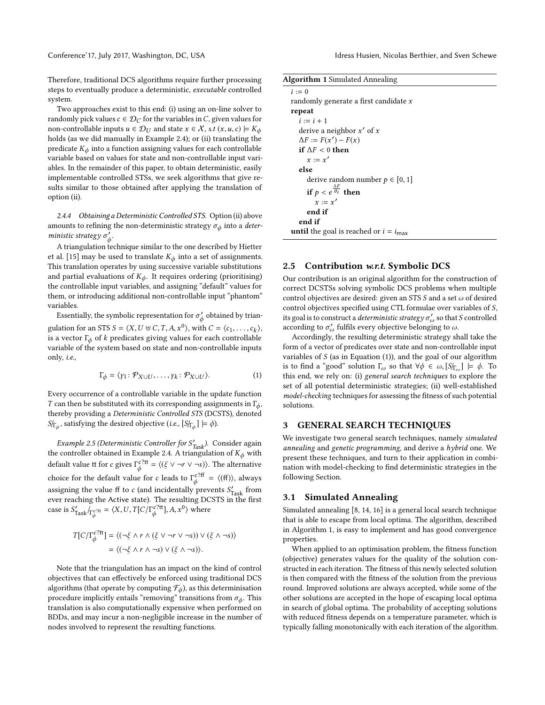Therefore, traditional DCS algorithms require further processing steps to eventually produce a deterministic, executable controlled system.

Two approaches exist to this end: (i) using an on-line solver to randomly pick values  $c \in \mathcal{D}_C$  for the variables in C, given values for non-controllable inputs  $u \in \mathcal{D}_U$  and state  $x \in \mathcal{X}$ , s.t  $(x, u, c) \models K_{\phi}$ holds (as we did manually in Example [2.4\)](#page-2-0); or (ii) translating the predicate  $K_{\phi}$  into a function assigning values for each controllable variable based on values for state and non-controllable input variables. In the remainder of this paper, to obtain deterministic, easily implementable controlled STSs, we seek algorithms that give results similar to those obtained after applying the translation of option [\(ii\)](#page-3-1).

2.4.4 Obtaining a Deterministic Controlled STS. Option [\(ii\)](#page-3-1) above amounts to refining the non-deterministic strategy  $\sigma_{\phi}$  into a *deter*ministic strategy  $\sigma'_{\phi}$ .

A triangulation technique similar to the one described by Hietter et al. [\[15\]](#page-9-28) may be used to translate  $K_{\phi}$  into a set of assignments. This translation operates by using successive variable substitutions and partial evaluations of  $K_{\phi}$ . It requires ordering (prioritising) the controllable input variables, and assigning "default" values for them, or introducing additional non-controllable input "phantom" variables.

Essentially, the symbolic representation for  $\sigma'_{\phi}$  obtained by triangulation for an STS  $S = \langle X, U \uplus C, T, A, x^0 \rangle$ , with  $C = \langle c_1, \ldots, c_k \rangle$ , is a vector  $\Gamma_i$  of k predicates giving values for each controllable is a vector  $\Gamma_{\phi}$  of k predicates giving values for each controllable variable of the system based on state and non-controllable inputs only, i.e.,

<span id="page-3-2"></span>
$$
\Gamma_{\phi} = \langle \gamma_1 \colon \mathcal{P}_{X \cup U}, \dots, \gamma_k \colon \mathcal{P}_{X \cup U} \rangle. \tag{1}
$$

Every occurrence of a controllable variable in the update function T can then be substituted with its corresponding assignments in  $\Gamma_{\phi}$ , thereby providing a Deterministic Controlled STS (DCSTS), denoted  $S|_{\Gamma_{\phi}}$ , satisfying the desired objective (i.e.,  $[S|_{\Gamma_{\phi}}] \models \phi$ ).

Example 2.5 (Deterministic Controller for  $S'_{\text{Task}}$ ). Consider again<br>a controller obtained in Example 2.4. A triangulation of K, with the controller obtained in Example [2.4.](#page-2-0) A triangulation of  $K_{\phi}$  with default value tt for c gives  $\Gamma_{\phi}^{c?tt} = \langle (\xi \vee \neg r \vee \neg s) \rangle$ . The alternative choice for the default value for c leads to  $\Gamma_{\phi}^{c2\text{ff}} = \langle (\text{ff}) \rangle$ , always assigning the value ff to c (and incidentally prevents  $S'_{\text{Task}}$  from ever reaching the Active state). The resulting DCSTS in the first ever reaching the Active state). The resulting DCSTS in the first case is  $S'_{\text{Task}}/r_{\phi}^{c\gamma_{\text{tt}}}= \langle X, U, T[C/ r_{\phi}^{c\gamma_{\text{tt}}}], A, x^0 \rangle$  where

$$
T[C/\Gamma_{\phi}^{c?tt}] = \langle (\neg \xi \land r \land (\xi \lor \neg r \lor \neg s)) \lor (\xi \land \neg s) \rangle
$$
  
= \langle (\neg \xi \land r \land \neg s) \lor (\xi \land \neg s) \rangle.

Note that the triangulation has an impact on the kind of control objectives that can effectively be enforced using traditional DCS algorithms (that operate by computing  $\mathcal{F}_{\phi}$ ), as this determinisation<br>procedure implicitly entails "removing" transitions from  $\sigma$ . This procedure implicitly entails "removing" transitions from  $\sigma_{\phi}$ . This translation is also computationally expensive when performed on BDDs, and may incur a non-negligible increase in the number of nodes involved to represent the resulting functions.

<span id="page-3-3"></span>Algorithm 1 Simulated Annealing

<span id="page-3-1"></span>

| $i := 0$                                          |
|---------------------------------------------------|
| randomly generate a first candidate $x$           |
| repeat                                            |
| $i := i + 1$                                      |
| derive a neighbor $x'$ of x                       |
| $\Delta F := F(x') - F(x)$                        |
| if $\Delta F < 0$ then                            |
| $x := x'$                                         |
| else                                              |
| derive random number $p \in [0, 1]$               |
| if $p < e^{\frac{\Delta F}{\theta_i}}$ then       |
| $x := x'$                                         |
| end if                                            |
| end if                                            |
| <b>until</b> the goal is reached or $i = i_{max}$ |
|                                                   |

#### <span id="page-3-4"></span>2.5 Contribution w.r.t. Symbolic DCS

Our contribution is an original algorithm for the construction of correct DCSTSs solving symbolic DCS problems when multiple control objectives are desired: given an STS  $S$  and a set  $\omega$  of desired control objectives specified using CTL formulae over variables of S, its goal is to construct a *deterministic strategy*  $\sigma'_{\omega}$  so that *S* controlled according to  $\sigma'$ , fulfils every objective belonging to  $\omega$ according to  $\sigma'_{\omega}$  fulfils every objective belonging to  $\omega$ .<br>Accordingly the resulting deterministic strategy shows

Accordingly, the resulting deterministic strategy shall take the form of a vector of predicates over state and non-controllable input variables of  $S$  (as in Equation [\(1\)](#page-3-2)), and the goal of our algorithm is to find a "good" solution  $\Gamma_{\omega}$  so that  $\forall \phi \in \omega$ ,  $[S_{\Gamma_{\omega}}] \models \phi$ . To this and we rely on: (i) general search techniques to explore the this end, we rely on: (i) general search techniques to explore the set of all potential deterministic strategies; (ii) well-established model-checking techniques for assessing the fitness of such potential solutions.

# <span id="page-3-0"></span>3 GENERAL SEARCH TECHNIQUES

We investigate two general search techniques, namely simulated annealing and genetic programming, and derive a hybrid one. We present these techniques, and turn to their application in combination with model-checking to find deterministic strategies in the following Section.

#### 3.1 Simulated Annealing

Simulated annealing [\[8,](#page-9-15) [14,](#page-9-16) [16\]](#page-9-21) is a general local search technique that is able to escape from local optima. The algorithm, described in Algorithm [1,](#page-3-3) is easy to implement and has good convergence properties.

When applied to an optimisation problem, the fitness function (objective) generates values for the quality of the solution constructed in each iteration. The fitness of this newly selected solution is then compared with the fitness of the solution from the previous round. Improved solutions are always accepted, while some of the other solutions are accepted in the hope of escaping local optima in search of global optima. The probability of accepting solutions with reduced fitness depends on a temperature parameter, which is typically falling monotonically with each iteration of the algorithm.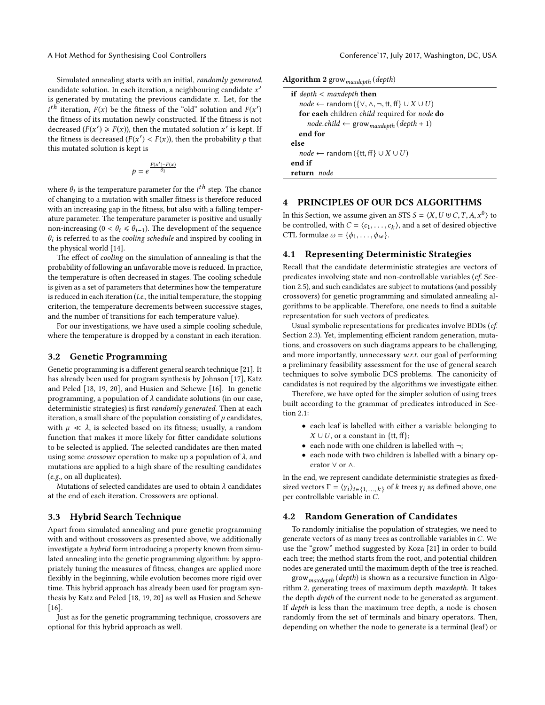A Hot Method for Synthesising Cool Controllers Content Conference' T7, July 2017, Washington, DC, USA

Simulated annealing starts with an initial, randomly generated, candidate solution. In each iteration, a neighbouring candidate  $x'$  is generated by mutating the previous candidate  $x$ . Let for the is generated by mutating the previous candidate  $x$ . Let, for the the fitness of its mutation newly constructed. If the fitness is not th iteration,  $F(x)$  be the fitness of the "old" solution and  $F(x')$ <br>he fitness of its mutation newly constructed. If the fitness is not decreased  $(F(x') \geq F(x))$ , then the mutated solution x' is kept. If<br>the fitness is decreased  $(F(x') \geq F(x))$ , then the probability a that the fitness is decreased  $(F(x') < F(x))$ , then the probability  $\rho$  that this mutated solution is kent is this mutated solution is kept is

$$
p = e^{\frac{F(x') - F(x)}{\theta_i}}
$$

where  $\theta_i$  is the temperature parameter for the *i*<sup>th</sup> step. The chance of chancing to a mutation with smaller fitness is therefore reduced of changing to a mutation with smaller fitness is therefore reduced with an increasing gap in the fitness, but also with a falling temperature parameter. The temperature parameter is positive and usually non-increasing (0 <  $\theta_i \leq \theta_{i-1}$ ). The development of the sequence the physical world [\[14\]](#page-9-16).  $\theta_i$  is referred to as the *cooling schedule* and inspired by cooling in

The effect of cooling on the simulation of annealing is that the probability of following an unfavorable move is reduced. In practice, the temperature is often decreased in stages. The cooling schedule is given as a set of parameters that determines how the temperature is reduced in each iteration (i.e., the initial temperature, the stopping criterion, the temperature decrements between successive stages, and the number of transitions for each temperature value).

For our investigations, we have used a simple cooling schedule, where the temperature is dropped by a constant in each iteration.

## 3.2 Genetic Programming

Genetic programming is a different general search technique [\[21\]](#page-9-22). It has already been used for program synthesis by Johnson [\[17\]](#page-9-17), Katz and Peled [\[18,](#page-9-18) [19,](#page-9-19) [20\]](#page-9-20), and Husien and Schewe [\[16\]](#page-9-21). In genetic programming, a population of  $\lambda$  candidate solutions (in our case, deterministic strategies) is first randomly generated. Then at each iteration, a small share of the population consisting of  $\mu$  candidates, with  $\mu \ll \lambda$ , is selected based on its fitness; usually, a random function that makes it more likely for fitter candidate solutions to be selected is applied. The selected candidates are then mated using some *crossover* operation to make up a population of  $\lambda$ , and mutations are applied to a high share of the resulting candidates (e.g., on all duplicates).

Mutations of selected candidates are used to obtain  $\lambda$  candidates at the end of each iteration. Crossovers are optional.

## <span id="page-4-2"></span>3.3 Hybrid Search Technique

Apart from simulated annealing and pure genetic programming with and without crossovers as presented above, we additionally investigate a hybrid form introducing a property known from simulated annealing into the genetic programming algorithm: by appropriately tuning the measures of fitness, changes are applied more flexibly in the beginning, while evolution becomes more rigid over time. This hybrid approach has already been used for program synthesis by Katz and Peled [\[18,](#page-9-18) [19,](#page-9-19) [20\]](#page-9-20) as well as Husien and Schewe [\[16\]](#page-9-21).

Just as for the genetic programming technique, crossovers are optional for this hybrid approach as well.

<span id="page-4-1"></span>

| <b>Algorithm 2</b> grow <sub>maxdepth</sub> (depth)                                       |  |
|-------------------------------------------------------------------------------------------|--|
| <b>if</b> depth $\lt$ maxdepth <b>then</b>                                                |  |
| $node \leftarrow random (\{\vee, \wedge, \neg, \mathsf{tt}, \mathsf{ff}\} \cup X \cup U)$ |  |
| for each children <i>child</i> required for <i>node</i> do                                |  |
| $nodechild \leftarrow grow_{maxdepth}(depth + 1)$                                         |  |
| end for                                                                                   |  |
| else                                                                                      |  |
| $node \leftarrow \text{random}(\{\text{tt}, \text{ff}\} \cup X \cup U)$                   |  |
| end if                                                                                    |  |
| return node                                                                               |  |

#### <span id="page-4-0"></span>4 PRINCIPLES OF OUR DCS ALGORITHMS

In this Section, we assume given an STS  $S = \langle X, U \cup C, T, A, x^0 \rangle$  to the controlled with  $C = \langle c, c \rangle$  and a set of desired objective be controlled, with  $C = \langle c_1, \ldots, c_k \rangle$ , and a set of desired objective<br>CTI formulae  $\omega = I d\omega$ ,  $d\omega$ CTL formulae  $\omega = {\phi_1, \ldots, \phi_w}.$ 

## 4.1 Representing Deterministic Strategies

Recall that the candidate deterministic strategies are vectors of predicates involving state and non-controllable variables (cf. Section [2.5\)](#page-3-4), and such candidates are subject to mutations (and possibly crossovers) for genetic programming and simulated annealing algorithms to be applicable. Therefore, one needs to find a suitable representation for such vectors of predicates.

Usual symbolic representations for predicates involve BDDs (cf. Section [2.3\)](#page-2-1). Yet, implementing efficient random generation, mutations, and crossovers on such diagrams appears to be challenging, and more importantly, unnecessary w.r.t. our goal of performing a preliminary feasibility assessment for the use of general search techniques to solve symbolic DCS problems. The canonicity of candidates is not required by the algorithms we investigate either.

Therefore, we have opted for the simpler solution of using trees built according to the grammar of predicates introduced in Section [2.1:](#page-1-3)

- each leaf is labelled with either a variable belonging to  $X \cup U$ , or a constant in {tt, ff};
- each node with one children is labelled with  $\neg;$
- each node with two children is labelled with a binary operator ∨ or ∧.

In the end, we represent candidate deterministic strategies as fixedsized vectors  $\Gamma = \langle \gamma_i \rangle_{i \in \{1, ..., k\}}$  of k trees  $\gamma_i$  as defined above, one per controllable variable in C.

## 4.2 Random Generation of Candidates

To randomly initialise the population of strategies, we need to generate vectors of as many trees as controllable variables in C. We use the "grow" method suggested by Koza [\[21\]](#page-9-22) in order to build each tree; the method starts from the root, and potential children nodes are generated until the maximum depth of the tree is reached.

grow  $_{maxdepth}$  (depth) is shown as a recursive function in Algorithm [2,](#page-4-1) generating trees of maximum depth maxdepth. It takes the depth depth of the current node to be generated as argument. If depth is less than the maximum tree depth, a node is chosen randomly from the set of terminals and binary operators. Then, depending on whether the node to generate is a terminal (leaf) or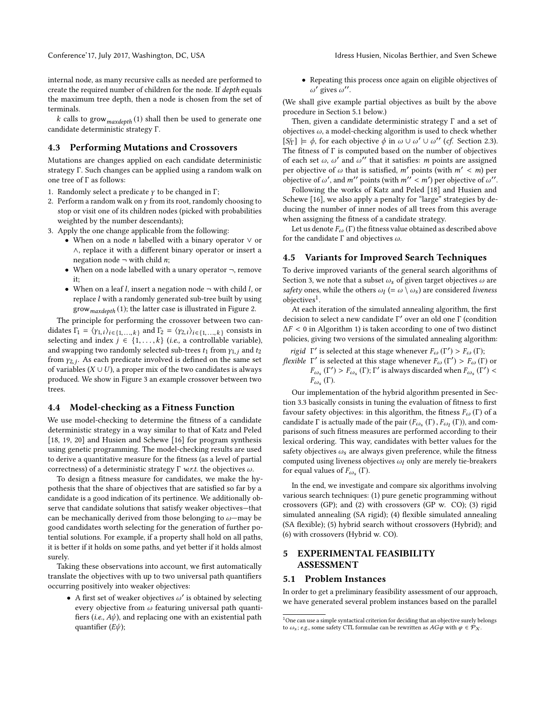Conference'17, July 2017, Washington, DC, USA International Conference Husien, Nicolas Berthier, and Sven Schewe

internal node, as many recursive calls as needed are performed to create the required number of children for the node. If depth equals the maximum tree depth, then a node is chosen from the set of terminals.

k calls to grow  $_{maxdepth}(1)$  shall then be used to generate one candidate deterministic strategy Γ.

#### 4.3 Performing Mutations and Crossovers

Mutations are changes applied on each candidate deterministic strategy Γ. Such changes can be applied using a random walk on one tree of Γ as follows:

- 1. Randomly select a predicate  $γ$  to be changed in Γ;
- 2. Perform a random walk on  $\gamma$  from its root, randomly choosing to stop or visit one of its children nodes (picked with probabilities weighted by the number descendants);
- 3. Apply the one change applicable from the following:
	- When on a node n labelled with a binary operator <sup>∨</sup> or ∧, replace it with a different binary operator or insert a negation node  $\neg$  with child *n*;
	- When on a node labelled with a unary operator ¬, remove it;
	- When on a leaf *l*, insert a negation node  $\neg$  with child *l*, or replace l with a randomly generated sub-tree built by using grow  $_{maxdepth}$  (1); the latter case is illustrated in Figure [2.](#page-6-0)

The principle for performing the crossover between two candidates  $\Gamma_1 = \langle \gamma_1, i \rangle_{i \in \{1, ..., k\}}$  and  $\Gamma_2 = \langle \gamma_2, i \rangle_{i \in \{1, ..., k\}}$  consists in selecting and index  $i \in \{1, ..., k\}$  (i.e., a controllable variable) selecting and index  $j \in \{1, \ldots, k\}$  (*i.e.*, a controllable variable), and swapping two randomly selected sub-trees  $t_1$  from  $\gamma_{1,i}$  and  $t_2$ from  $\gamma_{2,j}$ . As each predicate involved is defined on the same set<br>of variables  $(Y \cup U)$  a proper mix of the two candidates is always of variables ( $X \cup U$ ), a proper mix of the two candidates is always produced. We show in Figure [3](#page-6-1) an example crossover between two trees.

#### <span id="page-5-2"></span>4.4 Model-checking as a Fitness Function

We use model-checking to determine the fitness of a candidate deterministic strategy in a way similar to that of Katz and Peled [\[18,](#page-9-18) [19,](#page-9-19) [20\]](#page-9-20) and Husien and Schewe [\[16\]](#page-9-21) for program synthesis using genetic programming. The model-checking results are used to derive a quantitative measure for the fitness (as a level of partial correctness) of a deterministic strategy Γ w.r.t. the objectives ω.

To design a fitness measure for candidates, we make the hypothesis that the share of objectives that are satisfied so far by a candidate is a good indication of its pertinence. We additionally observe that candidate solutions that satisfy weaker objectives—that can be mechanically derived from those belonging to  $\omega$ —may be good candidates worth selecting for the generation of further potential solutions. For example, if a property shall hold on all paths, it is better if it holds on some paths, and yet better if it holds almost surely.

Taking these observations into account, we first automatically translate the objectives with up to two universal path quantifiers occurring positively into weaker objectives:

• A first set of weaker objectives  $\omega'$  is obtained by selecting<br>events objective from  $\omega$  featuring universal path quantievery objective from  $\omega$  featuring universal path quantifiers (*i.e.*,  $A\psi$ ), and replacing one with an existential path quantifier  $(E\psi)$ ;

• Repeating this process once again on eligible objectives of  $\int$  gives  $\omega''$ .

ω (We shall give example partial objectives as built by the above procedure in Section [5.1](#page-6-2) below.)

Then, given a candidate deterministic strategy Γ and a set of objectives  $\omega$ , a model-checking algorithm is used to check whether  $[S_f] \models \phi$ , for each objective  $\phi$  in  $\omega \cup \omega' \cup \omega''$  (cf. Section [2.3\)](#page-2-1).<br>The fitness of  $\Gamma$  is computed based on the number of objectives The fitness of  $\Gamma$  is computed based on the number of objectives of each set  $\omega$ ,  $\omega'$  and  $\omega''$  that it satisfies: *m* points are assigned<br>per objective of  $\omega$  that is satisfied m' points (with m'  $\lt m$ ) per per objective of  $\omega$  that is satisfied, m' points (with  $m' < m$ ) per objective of  $\omega'$ , and m'' points (with  $m'' < m'$ ) per objective of  $\omega''$ .<br>Following the works of Katz and Peled [18] and Husian and

Following the works of Katz and Peled [\[18\]](#page-9-18) and Husien and Schewe [\[16\]](#page-9-21), we also apply a penalty for "large" strategies by deducing the number of inner nodes of all trees from this average when assigning the fitness of a candidate strategy.

Let us denote  $F_{\omega}(\Gamma)$  the fitness value obtained as described above for the candidate  $\Gamma$  and objectives  $\omega$ .

## 4.5 Variants for Improved Search Techniques

To derive improved variants of the general search algorithms of Section [3,](#page-3-0) we note that a subset  $\omega_s$  of given target objectives  $\omega$  are safety ones, while the others  $\omega_l$  (=  $\omega \setminus \omega_s$ ) are considered liveness objectives[1](#page-5-1) .

At each iteration of the simulated annealing algorithm, the first decision to select a new candidate  $\Gamma'$  over an old one  $\Gamma$  (condition  $\Lambda E \geq 0$  in Algorithm 1) is taken according to one of two distinct  $\Delta F$  < 0 in Algorithm [1\)](#page-3-3) is taken according to one of two distinct policies, giving two versions of the simulated annealing algorithm:

rigid  $\Gamma'$  is selected at this stage whenever  $F_{\omega}(\Gamma') > F_{\omega}(\Gamma)$ ;<br>wible  $\Gamma'$  is selected at this stage whenever  $F_{\omega}(\Gamma') > F_{\omega}(\Gamma)$ flexible  $\Gamma'$  is selected at this stage whenever  $F_{\omega}(\Gamma') > F_{\omega}(\Gamma)$  or  $F_{\omega}(\Gamma') > F_{\omega}(\Gamma')$ .  $F_{\omega}(\Gamma') > F_{\omega}(\Gamma')$  $\frac{1}{F} \omega_s$ (Γ') >  $F_{\omega_s}$  (Γ'); Γ' is always discarded when  $F_{\omega_s}$  (Γ') < (Γ')  $F_{\omega_s}(\Gamma)$ .

Our implementation of the hybrid algorithm presented in Sec-tion [3.3](#page-4-2) basically consists in tuning the evaluation of fitness to first favour safety objectives: in this algorithm, the fitness  $F_{\omega}(\Gamma)$  of a candidate  $\Gamma$  is actually made of the pair  $(F_{\omega_s}(\Gamma), F_{\omega_l}(\Gamma))$ , and com-<br>parisons of such fitness measures are performed according to their parisons of such fitness measures are performed according to their lexical ordering. This way, candidates with better values for the safety objectives  $\omega_s$  are always given preference, while the fitness computed using liveness objectives  $\omega_l$  only are merely tie-breakers for equal values of  $F_{\omega_s}(\Gamma)$ .

In the end, we investigate and compare six algorithms involving various search techniques: (1) pure genetic programming without crossovers (GP); and (2) with crossovers (GP w. CO); (3) rigid simulated annealing (SA rigid); (4) flexible simulated annealing (SA flexible); (5) hybrid search without crossovers (Hybrid); and (6) with crossovers (Hybrid w. CO).

# <span id="page-5-0"></span>5 EXPERIMENTAL FEASIBILITY ASSESSMENT

## 5.1 Problem Instances

In order to get a preliminary feasibility assessment of our approach, we have generated several problem instances based on the parallel

<span id="page-5-1"></span> $1$ One can use a simple syntactical criterion for deciding that an objective surely belongs to  $\omega_s$ ; e.g., some safety CTL formulae can be rewritten as  $AG\varphi$  with  $\varphi \in \mathcal{P}_X$ .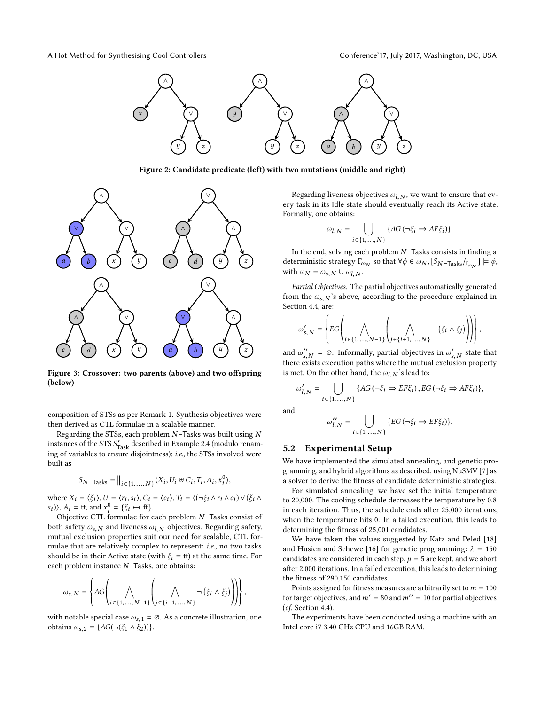<span id="page-6-0"></span>



Figure 2: Candidate predicate (left) with two mutations (middle and right)

<span id="page-6-1"></span>

Figure 3: Crossover: two parents (above) and two offspring (below)

composition of STSs as per Remark [1.](#page-1-4) Synthesis objectives were then derived as CTL formulae in a scalable manner.

Regarding the STSs, each problem N–Tasks was built using N instances of the STS  $S'_{\text{Task}}$  described in Example [2.4](#page-2-0) (modulo renam-<br>ing of variables to ensure disjointness); i.e., the STSs involved were ing of variables to ensure disjointness); i.e., the STSs involved were built as

$$
S_{N-\text{Tasks}} = \big\|_{i \in \{1, ..., N\}} \langle X_i, U_i \uplus C_i, T_i, A_i, x_i^0 \rangle,
$$

where  $X_i = \langle \xi_i \rangle$ ,  $U = \langle r_i, s_i \rangle$ ,  $C_i = \langle c_i \rangle$ ,  $T_i = \langle (\neg \xi_i \land r_i \land c_i) \lor (\xi_i \land r_i \land \neg t_i \land \neg t_i \land \neg t_i \land \neg t_i \land \neg t_i \land \neg t_i \land \neg t_i \land \neg t_i \land \neg t_i \land \neg t_i \land \neg t_i \land \neg t_i \land \neg t_i \land \neg t_i \land \neg t_i \land \neg t_i \land \neg t_i \land \neg t_i \land \neg t_i \land \neg t_i \land \neg t_i \land \neg t_i \land \neg t_i \land \neg t_i$  $s_i$ ),  $A_i =$  tt, and  $x_i^0 = \{\xi_i \mapsto ff\}$ .<br>Objective CTI formulae for  $\epsilon$ 

Objective CTL formulae for each problem  $N-$ Tasks consist of the sofety  $\omega$ ,  $\omega$  and liveness  $\omega$ ,  $\omega$  objectives. Begarding sofety both safety  $\omega_{\text{S},N}$  and liveness  $\omega_{l,N}$  objectives. Regarding safety, mutual exclusion properties suit our need for scalable, CTL formulae that are relatively complex to represent: i.e., no two tasks should be in their Active state (with  $\xi_i =$  tt) at the same time. For each problem instance N–Tasks, one obtains:

$$
\omega_{s,N} = \left\{ AG \left( \bigwedge_{i \in \{1, ..., N-1\}} \left( \bigwedge_{j \in \{i+1, ..., N\}} \neg (\xi_i \wedge \xi_j) \right) \right) \right\},
$$

with notable special case  $\omega_{s,1} = \emptyset$ . As a concrete illustration, one<br>obtains  $\omega_{s,0} = \frac{\text{A}}{\text{A}} G(-(\varepsilon, \lambda, \varepsilon))$ obtains  $\omega_{s,2} = \{AG(\neg(\xi_1 \land \xi_2))\}.$ 

Regarding liveness objectives  $\omega_{l,N}$ , we want to ensure that every task in its Idle state should eventually reach its Active state. Formally, one obtains:

$$
\omega_{l,N} = \bigcup_{i \in \{1, ..., N\}} \{AG(\neg \xi_i \Rightarrow AF\xi_i)\}.
$$

In the end, solving each problem  $N-$ Tasks consists in finding a deterministic strategy  $\Gamma_{\omega_N}$  so that  $\forall \phi \in \omega_N$ ,  $[S_{N-\text{Tasks}}/T_{\omega_N}] \models \phi$ , with  $\omega_N = \omega_{s,N} \cup \omega_{l,N}$ .

<span id="page-6-2"></span>Partial Objectives. The partial objectives automatically generated from the  $\omega_{s,N}$ 's above, according to the procedure explained in Section [4.4,](#page-5-2) are:

$$
\omega'_{s,N} = \left\{ EG \left( \bigwedge_{i \in \{1, \ldots, N-1\}} \left( \bigwedge_{j \in \{i+1, \ldots, N\}} \neg (\xi_i \wedge \xi_j) \right) \right) \right\},\,
$$

and  $\omega''_{s,N} = \emptyset$ . Informally, partial objectives in  $\omega'_{s,N}$  state that there exists execution paths where the mutual exclusion property is met. On the other hand, the  $\omega_{LN}$ 's lead to:

$$
\omega'_{l,N} = \bigcup_{i \in \{1, ..., N\}} \{AG(\neg \xi_i \Rightarrow EF\xi_i), EG(\neg \xi_i \Rightarrow AF\xi_i)\},\
$$

and

$$
\omega_{l,N}^{\prime\prime} = \bigcup_{i \in \{1,\dots,N\}} \{EG(\neg \xi_i \Rightarrow EF\xi_i)\}.
$$

## 5.2 Experimental Setup

We have implemented the simulated annealing, and genetic programming, and hybrid algorithms as described, using NuSMV [\[7\]](#page-9-29) as a solver to derive the fitness of candidate deterministic strategies.

For simulated annealing, we have set the initial temperature to 20,000. The cooling schedule decreases the temperature by 0.8 in each iteration. Thus, the schedule ends after 25,000 iterations, when the temperature hits 0. In a failed execution, this leads to determining the fitness of 25,001 candidates.

We have taken the values suggested by Katz and Peled [\[18\]](#page-9-18) and Husien and Schewe [\[16\]](#page-9-21) for genetic programming:  $\lambda = 150$ candidates are considered in each step,  $\mu = 5$  are kept, and we abort after 2,000 iterations. In a failed execution, this leads to determining the fitness of 290,150 candidates.

Points assigned for fitness measures are arbitrarily set to  $m = 100$ for target objectives, and  $m' = 80$  and  $m'' = 10$  for partial objectives (cf. Section [4.4\)](#page-5-2).

The experiments have been conducted using a machine with an Intel core i7 3.40 GHz CPU and 16GB RAM.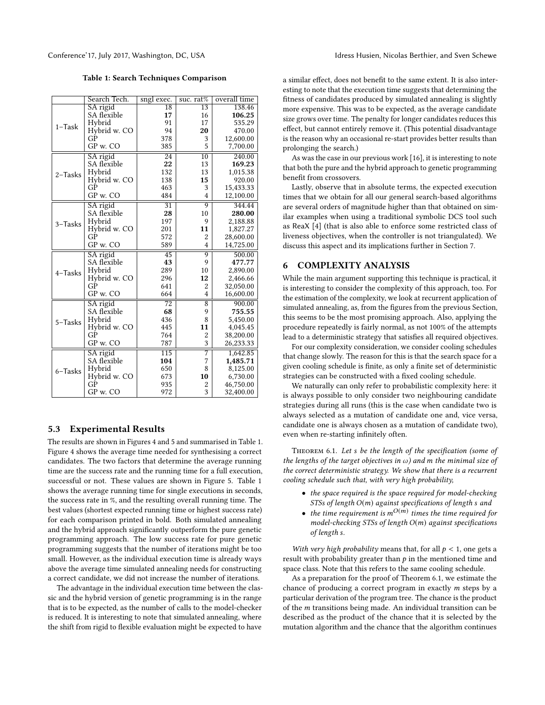<span id="page-7-1"></span>Conference'17, July 2017, Washington, DC, USA Idress Husien, Nicolas Berthier, and Sven Schewe

## Table 1: Search Techniques Comparison

|              | Search Tech. | sngl exec.      | suc. rat%       | overall time |
|--------------|--------------|-----------------|-----------------|--------------|
| $1 - Task$   | SA rigid     | 18              | $\overline{13}$ | 138.46       |
|              | SA flexible  | 17              | 16              | 106.25       |
|              | Hybrid       | 91              | 17              | 535.29       |
|              | Hybrid w. CO | 94              | 20              | 470.00       |
|              | GP           | 378             | 3               | 12,600.00    |
|              | GP w. CO     | 385             | 5               | 7,700.00     |
| 2-Tasks      | SA rigid     | 24              | $\overline{10}$ | 240.00       |
|              | SA flexible  | 22              | 13              | 169.23       |
|              | Hybrid       | 132             | 13              | 1,015.38     |
|              | Hybrid w. CO | 138             | 15              | 920.00       |
|              | GP           | 463             | 3               | 15,433.33    |
|              | GP w. CO     | 484             | 4               | 12,100.00    |
|              | SA rigid     | $\overline{31}$ | $\overline{9}$  | 344.44       |
|              | SA flexible  | 28              | 10              | 280.00       |
| $3 - T$ asks | Hybrid       | 197             | 9               | 2,188.88     |
|              | Hybrid w. CO | 201             | 11              | 1,827.27     |
|              | GP           | 572             | 2               | 28,600.00    |
|              | GP w. CO     | 589             | 4               | 14,725.00    |
|              | SA rigid     | 45              | 9               | 500.00       |
| 4-Tasks      | SA flexible  | 43              | 9               | 477.77       |
|              | Hybrid       | 289             | 10              | 2,890.00     |
|              | Hybrid w. CO | 296             | 12              | 2,466.66     |
|              | GP           | 641             | 2               | 32,050.00    |
|              | GP w. CO     | 664             | 4               | 16,600.00    |
| 5-Tasks      | SA rigid     | $\overline{72}$ | $\overline{8}$  | 900.00       |
|              | SA flexible  | 68              | 9               | 755.55       |
|              | Hybrid       | 436             | 8               | 5,450.00     |
|              | Hybrid w. CO | 445             | 11              | 4,045.45     |
|              | GP           | 764             | 2               | 38,200.00    |
|              | GP w. CO     | 787             | 3               | 26,233.33    |
| 6-Tasks      | SA rigid     | 115             | 7               | 1,642.85     |
|              | SA flexible  | 104             | 7               | 1,485.71     |
|              | Hybrid       | 650             | 8               | 8,125.00     |
|              | Hybrid w. CO | 673             | 10              | 6,730.00     |
|              | GР           | 935             | 2               | 46,750.00    |
|              | GP w. CO     | 972             | 3               | 32,400.00    |

## 5.3 Experimental Results

The results are shown in Figures [4](#page-8-0) and [5](#page-8-1) and summarised in Table [1.](#page-7-1) Figure [4](#page-8-0) shows the average time needed for synthesising a correct candidates. The two factors that determine the average running time are the success rate and the running time for a full execution, successful or not. These values are shown in Figure [5.](#page-8-1) Table [1](#page-7-1) shows the average running time for single executions in seconds, the success rate in %, and the resulting overall running time. The best values (shortest expected running time or highest success rate) for each comparison printed in bold. Both simulated annealing and the hybrid approach significantly outperform the pure genetic programming approach. The low success rate for pure genetic programming suggests that the number of iterations might be too small. However, as the individual execution time is already ways above the average time simulated annealing needs for constructing a correct candidate, we did not increase the number of iterations.

The advantage in the individual execution time between the classic and the hybrid version of genetic programming is in the range that is to be expected, as the number of calls to the model-checker is reduced. It is interesting to note that simulated annealing, where the shift from rigid to flexible evaluation might be expected to have

a similar effect, does not benefit to the same extent. It is also interesting to note that the execution time suggests that determining the fitness of candidates produced by simulated annealing is slightly more expensive. This was to be expected, as the average candidate size grows over time. The penalty for longer candidates reduces this effect, but cannot entirely remove it. (This potential disadvantage is the reason why an occasional re-start provides better results than prolonging the search.)

As was the case in our previous work [\[16\]](#page-9-21), it is interesting to note that both the pure and the hybrid approach to genetic programming benefit from crossovers.

Lastly, observe that in absolute terms, the expected execution times that we obtain for all our general search-based algorithms are several orders of magnitude higher than that obtained on similar examples when using a traditional symbolic DCS tool such as ReaX [\[4\]](#page-9-12) (that is also able to enforce some restricted class of liveness objectives, when the controller is not triangulated). We discuss this aspect and its implications further in Section [7.](#page-9-23)

## <span id="page-7-0"></span>6 COMPLEXITY ANALYSIS

While the main argument supporting this technique is practical, it is interesting to consider the complexity of this approach, too. For the estimation of the complexity, we look at recurrent application of simulated annealing, as, from the figures from the previous Section, this seems to be the most promising approach. Also, applying the procedure repeatedly is fairly normal, as not 100% of the attempts lead to a deterministic strategy that satisfies all required objectives.

For our complexity consideration, we consider cooling schedules that change slowly. The reason for this is that the search space for a given cooling schedule is finite, as only a finite set of deterministic strategies can be constructed with a fixed cooling schedule.

We naturally can only refer to probabilistic complexity here: it is always possible to only consider two neighbouring candidate strategies during all runs (this is the case when candidate two is always selected as a mutation of candidate one and, vice versa, candidate one is always chosen as a mutation of candidate two), even when re-starting infinitely often.

<span id="page-7-2"></span>THEOREM 6.1. Let s be the length of the specification (some of the lengths of the target objectives in  $\omega$ ) and m the minimal size of the correct deterministic strategy. We show that there is a recurrent cooling schedule such that, with very high probability,

- the space required is the space required for model-checking STSs of length  $O(m)$  against specifications of length s and
- the time requirement is  $m^{O(m)}$  times the time required for model-checking STSs of length  $O(m)$  against specifications  $model$ -checking STSs of length  $O(m)$  against specifications of length s.

With very high probability means that, for all  $p < 1$ , one gets a result with probability greater than  $p$  in the mentioned time and space class. Note that this refers to the same cooling schedule.

As a preparation for the proof of Theorem [6.1,](#page-7-2) we estimate the chance of producing a correct program in exactly m steps by a particular derivation of the program tree. The chance is the product of the m transitions being made. An individual transition can be described as the product of the chance that it is selected by the mutation algorithm and the chance that the algorithm continues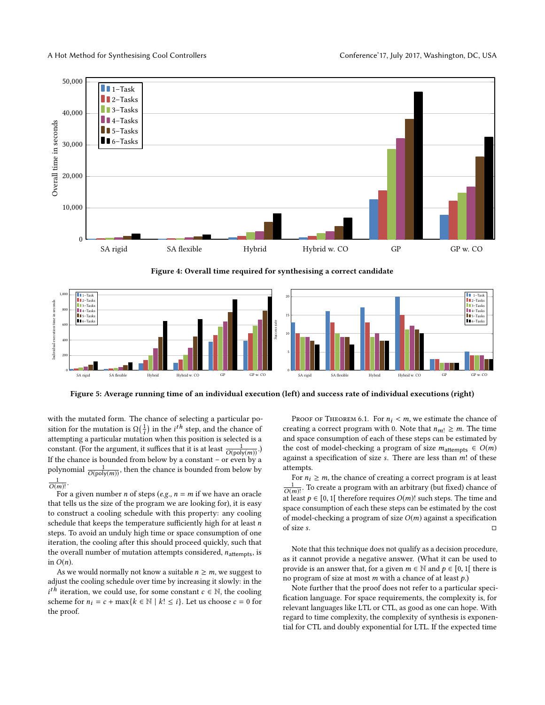<span id="page-8-0"></span>

Figure 4: Overall time required for synthesising a correct candidate

<span id="page-8-1"></span>

Figure 5: Average running time of an individual execution (left) and success rate of individual executions (right)

with the mutated form. The chance of selecting a particular position for the mutation is  $\Omega(\frac{1}{l})$  in the *i*<sup>th</sup> step, and the chance of attenuing a particular mutation when this position is selected is a attempting a particular mutation when this position is selected is a constant. (For the argument, it suffices that it is at least  $\frac{1}{O(poly(m))}$ .)<br>If the chance is bounded from below by a constant – or even by a If the chance is bounded from below by a constant – or even by a polynomial  $\frac{1}{O(\text{poly}(m))}$ , then the chance is bounded from below by 1  $\overline{O(m)!}$ .

For a given number *n* of steps (e.g.,  $n = m$  if we have an oracle that tells us the size of the program we are looking for), it is easy to construct a cooling schedule with this property: any cooling schedule that keeps the temperature sufficiently high for at least  $n$ steps. To avoid an unduly high time or space consumption of one iteration, the cooling after this should proceed quickly, such that the overall number of mutation attempts considered,  $n_{\text{attemps}}$ , is in  $O(n)$ .

As we would normally not know a suitable  $n \ge m$ , we suggest to adjust the cooling schedule over time by increasing it slowly: in the scheme for  $n_i = c + \max\{k \in \mathbb{N} \mid k! \leq i\}$ . Let us choose  $c = 0$  for the proof.  $i<sup>th</sup>$  iteration, we could use, for some constant  $c \in \mathbb{N}$ , the cooling the proof.

PROOF OF THEOREM [6.1.](#page-7-2) For  $n_i < m$ , we estimate the chance of creating a correct program with 0. Note that  $n_{m!} \geq m$ . The time and space consumption of each of these steps can be estimated by the cost of model-checking a program of size  $m_{\text{attemps}} \in O(m)$ against a specification of size s. There are less than  $m!$  of these attempts.

For  $n_i \geq m,$  the chance of creating a correct program is at least  $\frac{1}{O(m)!}$ . To create a program with an arbitrary (but fixed) chance of at least  $p \in [0, 1]$  therefore requires  $O(m)!$  such steps. The time and space consumption of each these steps can be estimated by the cost of model-checking a program of size  $O(m)$  against a specification<br>of size s. of size s.  $\Box$ 

Note that this technique does not qualify as a decision procedure, as it cannot provide a negative answer. (What it can be used to provide is an answer that, for a given  $m \in \mathbb{N}$  and  $p \in [0, 1]$  there is no program of size at most  $m$  with a chance of at least  $p$ .)

Note further that the proof does not refer to a particular speci fication language. For space requirements, the complexity is, for relevant languages like LTL or CTL, as good as one can hope. With regard to time complexity, the complexity of synthesis is exponential for CTL and doubly exponential for LTL. If the expected time